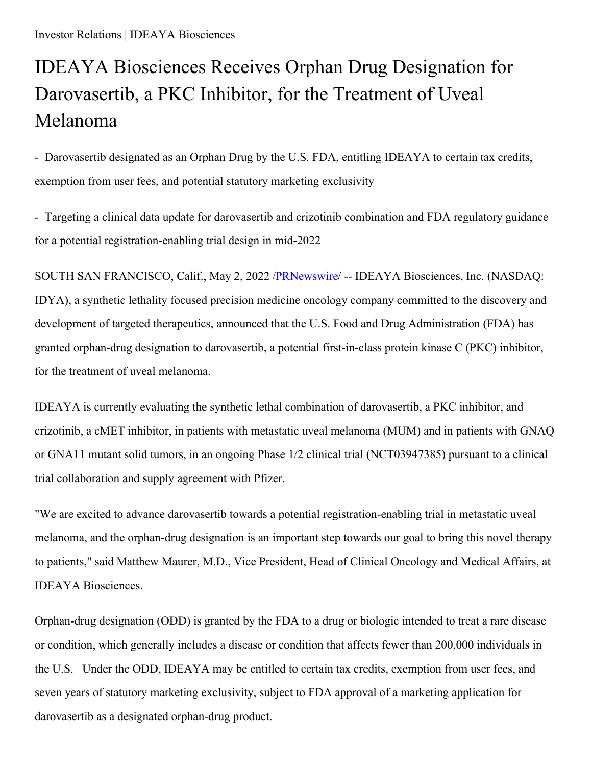## IDEAYA Biosciences Receives Orphan Drug Designation for Darovasertib, a PKC Inhibitor, for the Treatment of Uveal Melanoma

- Darovasertib designated as an Orphan Drug by the U.S. FDA, entitling IDEAYA to certain tax credits, exemption from user fees, and potential statutory marketing exclusivity

- Targeting a clinical data update for darovasertib and crizotinib combination and FDA regulatory guidance for a potential registration-enabling trial design in mid-2022

SOUTH SAN FRANCISCO, Calif., May 2, 2022 [/PRNewswire](http://www.prnewswire.com/)/ -- IDEAYA Biosciences, Inc. (NASDAQ: IDYA), a synthetic lethality focused precision medicine oncology company committed to the discovery and development of targeted therapeutics, announced that the U.S. Food and Drug Administration (FDA) has granted orphan-drug designation to darovasertib, a potential first-in-class protein kinase C (PKC) inhibitor, for the treatment of uveal melanoma.

IDEAYA is currently evaluating the synthetic lethal combination of darovasertib, a PKC inhibitor, and crizotinib, a cMET inhibitor, in patients with metastatic uveal melanoma (MUM) and in patients with GNAQ or GNA11 mutant solid tumors, in an ongoing Phase 1/2 clinical trial (NCT03947385) pursuant to a clinical trial collaboration and supply agreement with Pfizer.

"We are excited to advance darovasertib towards a potential registration-enabling trial in metastatic uveal melanoma, and the orphan-drug designation is an important step towards our goal to bring this novel therapy to patients," said Matthew Maurer, M.D., Vice President, Head of Clinical Oncology and Medical Affairs, at IDEAYA Biosciences.

Orphan-drug designation (ODD) is granted by the FDA to a drug or biologic intended to treat a rare disease or condition, which generally includes a disease or condition that affects fewer than 200,000 individuals in the U.S. Under the ODD, IDEAYA may be entitled to certain tax credits, exemption from user fees, and seven years of statutory marketing exclusivity, subject to FDA approval of a marketing application for darovasertib as a designated orphan-drug product.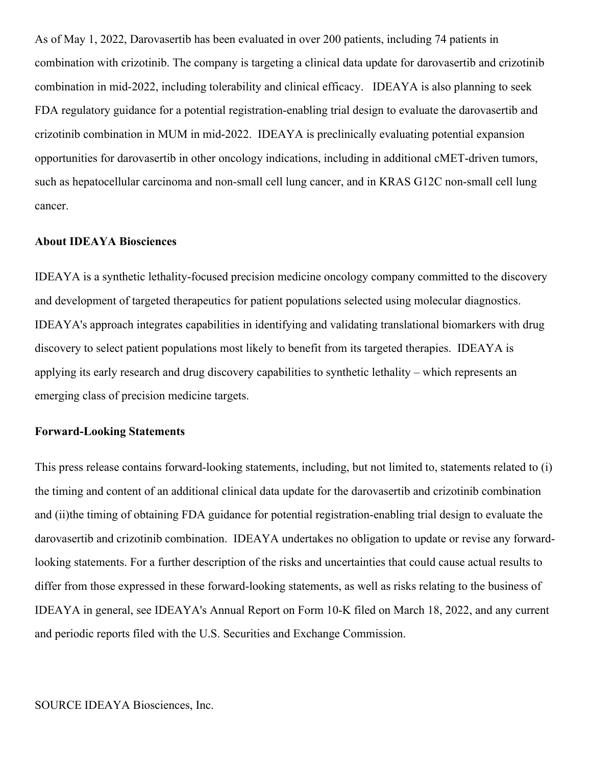As of May 1, 2022, Darovasertib has been evaluated in over 200 patients, including 74 patients in combination with crizotinib. The company is targeting a clinical data update for darovasertib and crizotinib combination in mid-2022, including tolerability and clinical efficacy. IDEAYA is also planning to seek FDA regulatory guidance for a potential registration-enabling trial design to evaluate the darovasertib and crizotinib combination in MUM in mid-2022. IDEAYA is preclinically evaluating potential expansion opportunities for darovasertib in other oncology indications, including in additional cMET-driven tumors, such as hepatocellular carcinoma and non-small cell lung cancer, and in KRAS G12C non-small cell lung cancer.

## **About IDEAYA Biosciences**

IDEAYA is a synthetic lethality-focused precision medicine oncology company committed to the discovery and development of targeted therapeutics for patient populations selected using molecular diagnostics. IDEAYA's approach integrates capabilities in identifying and validating translational biomarkers with drug discovery to select patient populations most likely to benefit from its targeted therapies. IDEAYA is applying its early research and drug discovery capabilities to synthetic lethality – which represents an emerging class of precision medicine targets.

## **Forward-Looking Statements**

This press release contains forward-looking statements, including, but not limited to, statements related to (i) the timing and content of an additional clinical data update for the darovasertib and crizotinib combination and (ii)the timing of obtaining FDA guidance for potential registration-enabling trial design to evaluate the darovasertib and crizotinib combination. IDEAYA undertakes no obligation to update or revise any forwardlooking statements. For a further description of the risks and uncertainties that could cause actual results to differ from those expressed in these forward-looking statements, as well as risks relating to the business of IDEAYA in general, see IDEAYA's Annual Report on Form 10-K filed on March 18, 2022, and any current and periodic reports filed with the U.S. Securities and Exchange Commission.